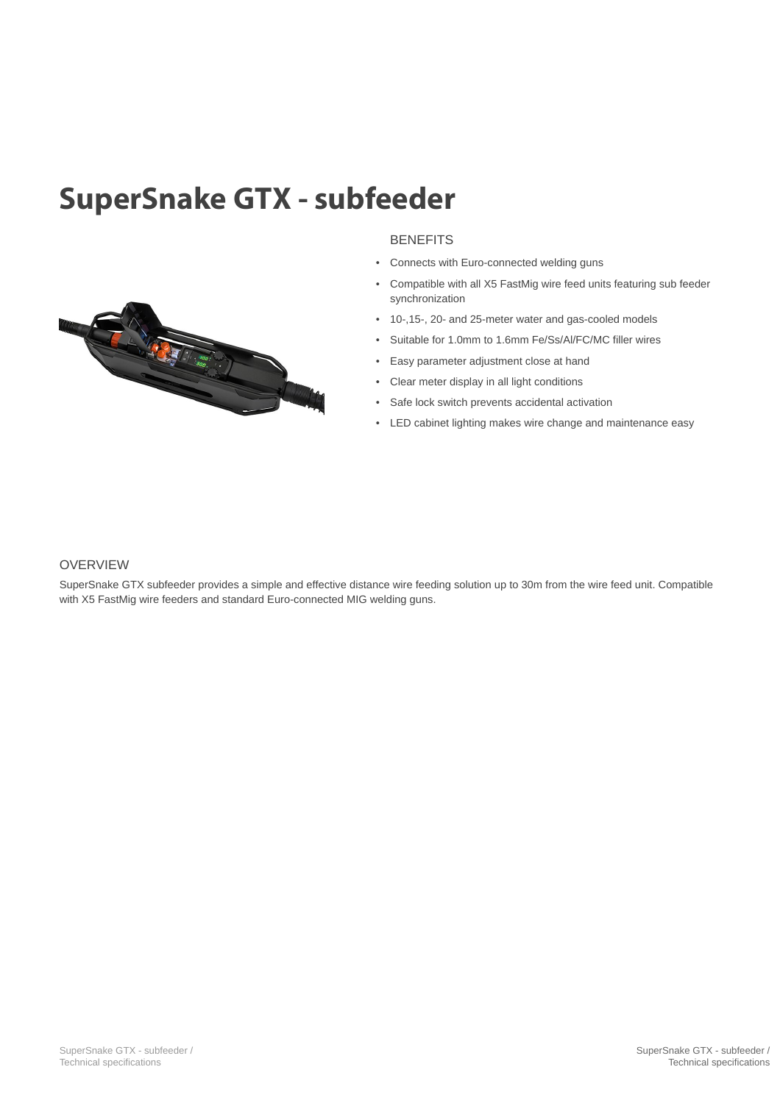## SuperSnake GTX - subfeeder



- Connects with Euro-connected welding guns
- Compatible with all X5 FastMig wire feed units featuring sub feeder synchronization
- 10-,15-, 20- and 25-meter water and gas-cooled models
- Suitable for 1.0mm to 1.6mm Fe/Ss/Al/FC/MC filler wires
- Easy parameter adjustment close at hand
- Clear meter display in all light conditions
- Safe lock switch prevents accidental activation
- LED cabinet lighting makes wire change and maintenance easy



SuperSnake GTX subfeeder provides a simple and effective distance wire feeding solution up to 30m from the wire feed unit. Compatible with X5 FastMig wire feeders and standard Euro-connected MIG welding guns.